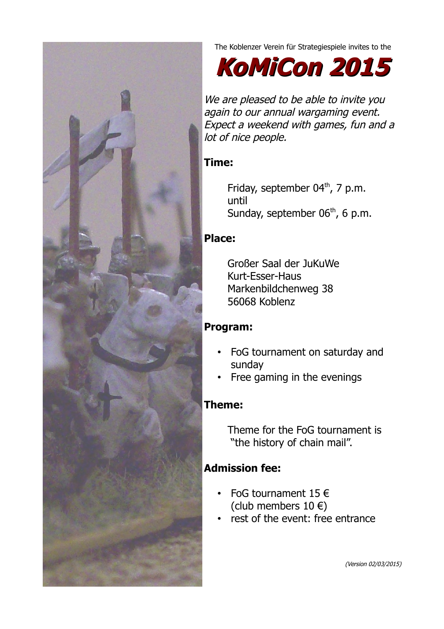

The Koblenzer Verein für Strategiespiele invites to the

**KoMiCon 2015**

We are pleased to be able to invite you again to our annual wargaming event. Expect a weekend with games, fun and a lot of nice people.

# **Time:**

Friday, september 04<sup>th</sup>, 7 p.m. until Sunday, september  $06<sup>th</sup>$ , 6 p.m.

# **Place:**

Großer Saal der JuKuWe Kurt-Esser-Haus Markenbildchenweg 38 56068 Koblenz

# **Program:**

- FoG tournament on saturday and sunday
- Free gaming in the evenings

# **Theme:**

Theme for the FoG tournament is "the history of chain mail".

# **Admission fee:**

- FoG tournament  $15 \in$ (club members  $10 \in$ )
- rest of the event: free entrance

(Version 02/03/2015)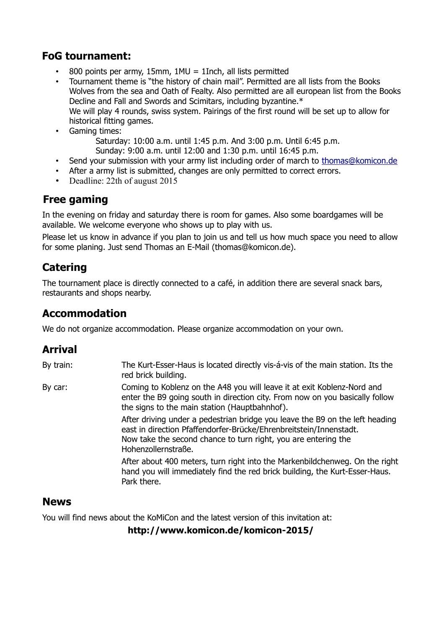# **FoG tournament:**

- 800 points per army, 15mm,  $1MU = 1Inch$ , all lists permitted
- Tournament theme is "the history of chain mail". Permitted are all lists from the Books Wolves from the sea and Oath of Fealty. Also permitted are all european list from the Books Decline and Fall and Swords and Scimitars, including byzantine.\* We will play 4 rounds, swiss system. Pairings of the first round will be set up to allow for historical fitting games.
- Gaming times:
	- Saturday: 10:00 a.m. until 1:45 p.m. And 3:00 p.m. Until 6:45 p.m.
	- Sunday: 9:00 a.m. until 12:00 and 1:30 p.m. until 16:45 p.m.
- Send your submission with your army list including order of march to [thomas@komicon.de](mailto:thomas@komicon.de)
- After a army list is submitted, changes are only permitted to correct errors.
- Deadline: 22th of august 2015

# **Free gaming**

In the evening on friday and saturday there is room for games. Also some boardgames will be available. We welcome everyone who shows up to play with us.

Please let us know in advance if you plan to join us and tell us how much space you need to allow for some planing. Just send Thomas an E-Mail (thomas@komicon.de).

# **Catering**

The tournament place is directly connected to a café, in addition there are several snack bars, restaurants and shops nearby.

### **Accommodation**

We do not organize accommodation. Please organize accommodation on your own.

# **Arrival**

By train: The Kurt-Esser-Haus is located directly vis-á-vis of the main station. Its the red brick building. By car: Coming to Koblenz on the A48 you will leave it at exit Koblenz-Nord and enter the B9 going south in direction city. From now on you basically follow the signs to the main station (Hauptbahnhof). After driving under a pedestrian bridge you leave the B9 on the left heading east in direction Pfaffendorfer-Brücke/Ehrenbreitstein/Innenstadt. Now take the second chance to turn right, you are entering the Hohenzollernstraße. After about 400 meters, turn right into the Markenbildchenweg. On the right hand you will immediately find the red brick building, the Kurt-Esser-Haus. Park there.

#### **News**

You will find news about the KoMiCon and the latest version of this invitation at:

**[http://www.komicon.de/komicon-2015/](http://komicon.jimdo.com/)**